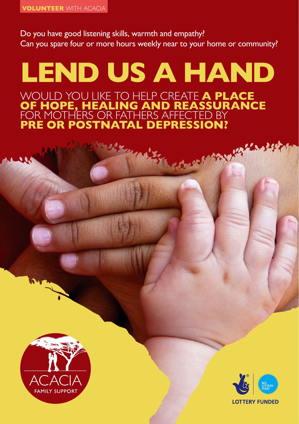Do you have good listening skills, warmth and empathy? Can you spare four or more hours weekly near to your home or community?

# **LEND US A HAND** WOULD YOU LIKE TO HELP CREATE **A PLACE OF HOPE, HEALING AND REASSURANCE** FOR MOTHERS OR FATHERS AFFECTED BY **PRE OR POSTNATAL DEPRESSION?**





BARY KALLA